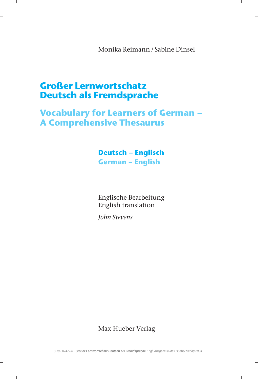Monika Reimann / Sabine Dinsel

## Großer Lernwortschatz Deutsch als Fremdsprache

# Vocabulary for Learners of German A Comprehensive Thesaurus

### Deutsch - Englisch **German - English**

Englische Bearbeitung English translation

John Stevens

Max Hueber Verlag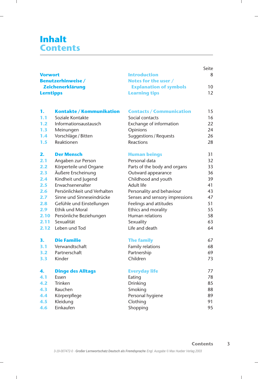## Inhalt **Contents**

|                                                                |                              |                                             | Seite |
|----------------------------------------------------------------|------------------------------|---------------------------------------------|-------|
| <b>Vorwort</b><br><b>Benutzerhinweise/</b><br>Zeichenerklärung |                              | <b>Introduction</b><br>Notes for the user / | 8     |
|                                                                |                              |                                             |       |
|                                                                |                              | <b>Lerntipps</b>                            |       |
|                                                                |                              |                                             |       |
| 1.                                                             | Kontakte / Kommunikation     | <b>Contacts / Communication</b>             | 15    |
| 1.1                                                            | Soziale Kontakte             | Social contacts                             | 16    |
| $1.2$                                                          | Informationsaustausch        | Exchange of information                     | 22    |
| 1.3                                                            | Meinungen                    | Opinions                                    | 24    |
| 1.4                                                            | Vorschläge / Bitten          | Suggestions / Requests                      | 26    |
| 1.5                                                            | Reaktionen                   | Reactions                                   | 28    |
| 2.                                                             | <b>Der Mensch</b>            | <b>Human beings</b>                         | 31    |
| 2.1                                                            | Angaben zur Person           | Personal data                               | 32    |
| 2.2                                                            | Körperteile und Organe       | Parts of the body and organs                | 33    |
| 2.3                                                            | Äußere Erscheinung           | Outward appearance                          | 36    |
| 2.4                                                            | Kindheit und Jugend          | Childhood and youth                         | 39    |
| 2.5                                                            | Erwachsenenalter             | Adult life                                  | 41    |
| 2.6                                                            | Persönlichkeit und Verhalten | Personality and behaviour                   | 43    |
| 2.7                                                            | Sinne und Sinneseindrücke    | Senses and sensory impressions              | 47    |
| 2.8                                                            | Gefühle und Einstellungen    | Feelings and attitudes                      | 51    |
| 2.9                                                            | <b>Ethik und Moral</b>       | Ethics and morality                         | 55    |
|                                                                | 2.10 Persönliche Beziehungen | Human relations                             | 58    |
| 2.11                                                           | Sexualität                   | Sexuality                                   | 63    |
| 2.12                                                           | Leben und Tod                | Life and death                              | 64    |
| 3.                                                             | <b>Die Familie</b>           | <b>The family</b>                           | 67    |
| 3.1                                                            | Verwandtschaft               | Family relations                            | 68    |
| 3.2                                                            | Partnerschaft                | Partnership                                 | 69    |
| 3.3                                                            | Kinder                       | Children                                    | 73    |
| 4.                                                             | <b>Dinge des Alltags</b>     | <b>Everyday life</b>                        | 77    |
| 4.1                                                            | Essen                        | Eating                                      | 78    |
| 4.2                                                            | Trinken                      | Drinking                                    | 85    |
| 4.3                                                            | Rauchen                      | Smoking                                     | 88    |
| 4.4                                                            | Körperpflege                 | Personal hygiene                            | 89    |
| 4.5                                                            | Kleidung                     | Clothing                                    | 91    |
| 4.6                                                            | Einkaufen                    | Shopping                                    | 95    |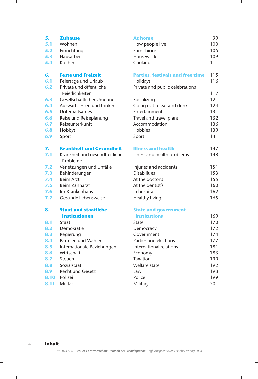| 5.  | <b>Zuhause</b>                             | At home                                 | 99  |
|-----|--------------------------------------------|-----------------------------------------|-----|
| 5.1 | Wohnen                                     | How people live                         | 100 |
| 5.2 | Einrichtung                                | Furnishings                             | 105 |
| 5.3 | <b>Hausarbeit</b>                          | Housework                               | 109 |
| 5.4 | Kochen                                     | Cooking                                 | 111 |
| 6.  | <b>Feste und Freizeit</b>                  | <b>Parties, festivals and free time</b> | 115 |
| 6.1 | Feiertage und Urlaub                       | Holidays                                | 116 |
| 6.2 | Private und öffentliche<br>Feierlichkeiten | Private and public celebrations         | 117 |
| 6.3 | Gesellschaftlicher Umgang                  | Socializing                             | 121 |
| 6.4 | Auswärts essen und trinken                 | Going out to eat and drink              | 124 |
| 6.5 | Unterhaltsames                             | Entertainment                           | 131 |
| 6.6 | Reise und Reiseplanung                     | Travel and travel plans                 | 132 |
| 6.7 | Reiseunterkunft                            | Accommodation                           | 136 |
| 6.8 | Hobbys                                     | <b>Hobbies</b>                          | 139 |
| 6.9 | Sport                                      | Sport                                   | 141 |
| 7.  | <b>Krankheit und Gesundheit</b>            | <b>Illness and health</b>               | 147 |
| 7.1 | Krankheit und gesundheitliche<br>Probleme  | Illness and health problems             | 148 |
| 7.2 | Verletzungen und Unfälle                   | Injuries and accidents                  | 151 |
| 7.3 | Behinderungen                              | <b>Disabilities</b>                     | 153 |
| 7.4 | <b>Beim Arzt</b>                           | At the doctor's                         | 155 |
| 7.5 | <b>Beim Zahnarzt</b>                       | At the dentist's                        | 160 |
| 7.6 | Im Krankenhaus                             | In hospital                             | 162 |
| 7.7 | Gesunde Lebensweise                        | Healthy living                          | 165 |
| 8.  | Staat und staatliche                       | <b>State and government</b>             |     |
|     | <b>Institutionen</b>                       | <b>institutions</b>                     | 169 |
| 8.1 | Staat                                      | State                                   | 170 |
| 8.2 | Demokratie                                 | Democracy                               | 172 |
| 8.3 | Regierung                                  | Government                              | 174 |
| 8.4 | Parteien und Wahlen                        | Parties and elections                   | 177 |
| 8.5 | Internationale Beziehungen                 | International relations                 | 181 |
| 8.6 | Wirtschaft                                 | Economy                                 | 183 |
| 8.7 | Steuern                                    | Taxation                                | 190 |
| 8.8 | Sozialstaat                                | Welfare state                           | 192 |
| 8.9 | Recht und Gesetz                           | Law                                     | 193 |

- 
- 8.9 Recht und Gesetz Law
- 8.10 Polizei Police 199
- 8.11 Militär 1988 Military 1998 Military 201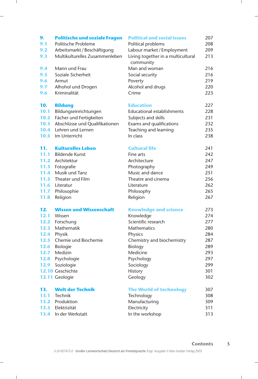| 9.   | <b>Politische und soziale Fragen</b> | <b>Political and social issues</b> | 207 |
|------|--------------------------------------|------------------------------------|-----|
| 9.1  | Politische Probleme                  | Political problems                 | 208 |
| 9.2  | Arbeitsmarkt / Beschäftigung         | Labour market / Employment         | 209 |
| 9.3  | Multikulturelles Zusammenleben       | Living together in a multicultural | 213 |
|      |                                      | community                          |     |
| 9.4  | Mann und Frau                        | Man and woman                      | 216 |
| 9.5  | Soziale Sicherheit                   | Social security                    | 216 |
| 9.6  | Armut                                | Poverty                            | 219 |
| 9.7  | Alhohol und Drogen                   | Alcohol and drugs                  | 220 |
| 9.6  | Kriminalität                         | Crime                              | 223 |
| 10.  | <b>Bildung</b>                       | <b>Education</b>                   | 227 |
| 10.1 | Bildungseinrichtungen                | <b>Educational establishments</b>  | 228 |
|      | 10.2 Fächer und Fertigkeiten         | Subjects and skills                | 231 |
| 10.3 | Abschlüsse und Qualifikationen       | Exams and qualifications           | 232 |
| 10.4 | Lehren und Lernen                    | Teaching and learning              | 235 |
| 10.5 | Im Unterricht                        | In class                           | 238 |
|      |                                      |                                    |     |
| 11.  | <b>Kulturelles Leben</b>             | <b>Cultural life</b>               | 241 |
| 11.1 | <b>Bildende Kunst</b>                | Fine arts                          | 242 |
| 11.2 | Architektur                          | Architecture                       | 247 |
|      | 11.3 Fotografie                      | Photography                        | 249 |
| 11.4 | Musik und Tanz                       | Music and dance                    | 251 |
| 11.5 | Theater und Film                     | Theatre and cinema                 | 256 |
| 11.6 | Literatur                            | Literature                         | 262 |
| 11.7 | Philosophie                          | Philosophy                         | 265 |
| 11.8 | Religion                             | Religion                           | 267 |
| 12.  | <b>Wissen und Wissenschaft</b>       | <b>Knowledge and science</b>       | 273 |
| 12.1 | Wissen                               | Knowledge                          | 274 |
|      | 12.2 Forschung                       | Scientific research                | 277 |
|      | 12.3 Mathematik                      | <b>Mathematics</b>                 | 280 |
|      | 12.4 Physik                          | Physics                            | 284 |
|      | <b>12.5</b> Chemie und Biochemie     | Chemistry and biochemistry         | 287 |
|      | 12.6 Biologie                        | Biology                            | 289 |
|      | 12.7 Medizin                         | Medicine                           | 293 |
|      | 12.8 Psychologie                     | Psychology                         | 297 |
|      | 12.9 Soziologie                      | Sociology                          | 299 |
|      | 12.10 Geschichte                     | <b>History</b>                     | 301 |
|      | 12.11 Geologie                       | Geology                            | 302 |
| 13.  | <b>Welt der Technik</b>              | <b>The World of technology</b>     | 307 |
| 13.1 | Technik                              | Technology                         | 308 |
| 13.2 | Produktion                           | Manufacturing                      | 309 |
| 13.3 | Elektrizität                         | Electricity                        | 311 |
| 13.4 | In der Werkstatt                     | In the workshop                    | 313 |
|      |                                      |                                    |     |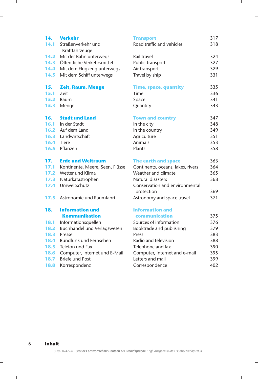| 14.  | <b>Verkehr</b>                       | <b>Transport</b>                             | 317 |
|------|--------------------------------------|----------------------------------------------|-----|
| 14.1 | Straßenverkehr und<br>Kraftfahrzeuge | Road traffic and vehicles                    | 318 |
| 14.2 | Mit der Bahn unterwegs               | Rail travel                                  | 324 |
| 14.3 | Öffentliche Verkehrsmittel           | Public transport                             | 327 |
| 14.4 | Mit dem Flugzeug unterwegs           | Air transport                                | 329 |
| 14.5 | Mit dem Schiff unterwegs             | Travel by ship                               | 331 |
| 15.  | <b>Zeit, Raum, Menge</b>             | <b>Time, space, quantity</b>                 | 335 |
| 15.1 | Zeit                                 | Time                                         | 336 |
| 15.2 | Raum                                 | Space                                        | 341 |
| 15.3 | Menge                                | Quantity                                     | 343 |
| 16.  | <b>Stadt und Land</b>                | <b>Town and country</b>                      | 347 |
| 16.1 | In der Stadt                         | In the city                                  | 348 |
|      | 16.2 Auf dem Land                    | In the country                               | 349 |
| 16.3 | Landwirtschaft                       | Agriculture                                  | 351 |
|      | 16.4 Tiere                           | Animals                                      | 353 |
| 16.5 | Pflanzen                             | Plants                                       | 358 |
| 17.  | <b>Erde und Weltraum</b>             | The earth and space                          | 363 |
| 17.1 | Kontinente, Meere, Seen, Flüsse      | Continents, oceans, lakes, rivers            | 364 |
| 17.2 | Wetter und Klima                     | Weather and climate                          | 365 |
| 17.3 | Naturkatastrophen                    | Natural disasters                            | 368 |
| 17.4 | Umweltschutz                         | Conservation and environmental<br>protection | 369 |
| 17.5 | Astronomie und Raumfahrt             | Astronomy and space travel                   | 371 |
| 18.  | <b>Information und</b>               | <b>Information and</b>                       |     |
|      | <b>Kommunikation</b>                 | communication                                | 375 |
| 18.1 | Informationsquellen                  | Sources of information                       | 376 |
| 18.2 | Buchhandel und Verlagswesen          | Booktrade and publishing                     | 379 |
| 18.3 | Presse                               | Press                                        | 383 |
| 18.4 | Rundfunk und Fernsehen               | Radio and television                         | 388 |
|      | <b>18.5</b> Telefon und Fax          | Telephone and fax                            | 390 |
| 18.6 | Computer, Internet und E-Mail        | Computer, internet and e-mail                | 395 |
| 18.7 | <b>Briefe und Post</b>               | Letters and mail                             | 399 |
| 18.8 | Korrespondenz                        | Correspondence                               | 402 |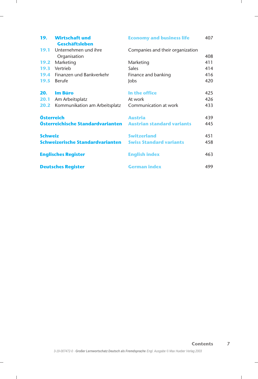|                | 19. Wirtschaft und                   | <b>Economy and business life</b>  | 407 |
|----------------|--------------------------------------|-----------------------------------|-----|
|                | Geschäftsleben                       |                                   |     |
|                | <b>19.1</b> Unternehmen und ihre     | Companies and their organization  |     |
|                | Organisation                         |                                   | 408 |
| 19.2           | Marketing                            | Marketing                         | 411 |
|                | 19.3 Vertrieb                        | <b>Sales</b>                      | 414 |
|                | <b>19.4</b> Finanzen und Bankverkehr | Finance and banking               | 416 |
| 19.5           | Berufe                               | <b>lobs</b>                       | 420 |
|                | 20. Im Büro                          | In the office                     | 425 |
|                | 20.1 Am Arbeitsplatz                 | At work                           | 426 |
| 20.2           | Kommunikation am Arbeitsplatz        | Communication at work             | 433 |
|                | Österreich                           | <b>Austria</b>                    | 439 |
|                | Österreichische Standardvarianten    | <b>Austrian standard variants</b> | 445 |
| <b>Schweiz</b> |                                      | <b>Switzerland</b>                | 451 |
|                | Schweizerische Standardvarianten     | <b>Swiss Standard variants</b>    | 458 |
|                | <b>Englisches Register</b>           | <b>English index</b>              | 463 |
|                | <b>Deutsches Register</b>            | <b>German index</b>               | 499 |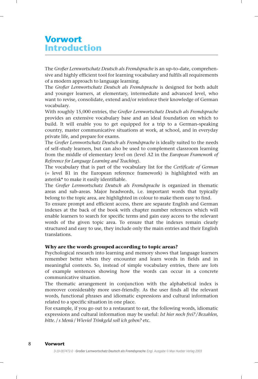### Vorwort Introduction

The Großer Lernwortschatz Deutsch als Fremdsprache is an up-to-date, comprehensive and highly efficient tool for learning vocabulary and fulfils all requirements of a modern approach to language learning.

The Großer Lernwortschatz Deutsch als Fremdsprache is designed for both adult and younger learners, at elementary, intermediate and advanced level, who want to revise, consolidate, extend and/or reinforce their knowledge of German vocabulary.

With roughly 15,000 entries, the Großer Lernwortschatz Deutsch als Fremdsprache provides an extensive vocabulary base and an ideal foundation on which to build. It will enable you to get equipped for a trip to a German-speaking country, master communicative situations at work, at school, and in everyday private life, and prepare for exams.

The Großer Lernwortschatz Deutsch als Fremdsprache is ideally suited to the needs of self-study learners, but can also be used to complement classroom learning from the middle of elementary level on (level A2 in the European Framework of Reference for Language Learning and Teaching).

The vocabulary that is part of the vocabulary list for the Certificate of German (= level B1 in the European reference framework) is highlighted with an asterisk\* to make it easily identifiable.

The Großer Lernwortschatz Deutsch als Fremdsprache is organized in thematic areas and sub-areas. Major headwords, i.e. important words that typically belong to the topic area, are highlighted in colour to make them easy to find.

To ensure prompt and efficient access, there are separate English and German indexes at the back of the book with chapter number references which will enable learners to search for specific terms and gain easy access to the relevant words of the given topic area. To ensure that the indexes remain clearly structured and easy to use, they include only the main entries and their English translations.

#### Why are the words grouped according to topic areas?

Psychological research into learning and memory shows that language learners remember better when they encounter and learn words in fields and in meaningful contexts. So, instead of simple vocabulary entries, there are lots of example sentences showing how the words can occur in a concrete communicative situation.

The thematic arrangement in conjunction with the alphabetical index is moreover considerably more user-friendly. As the user finds all the relevant words, functional phrases and idiomatic expressions and cultural information related to a specific situation in one place.

For example, if you go out to a restaurant to eat, the following words, idiomatic expressions and cultural information may be useful: Ist hier noch frei?/Bezahlen, bitte. / s Menü / Wieviel Trinkgeld soll ich geben? etc.